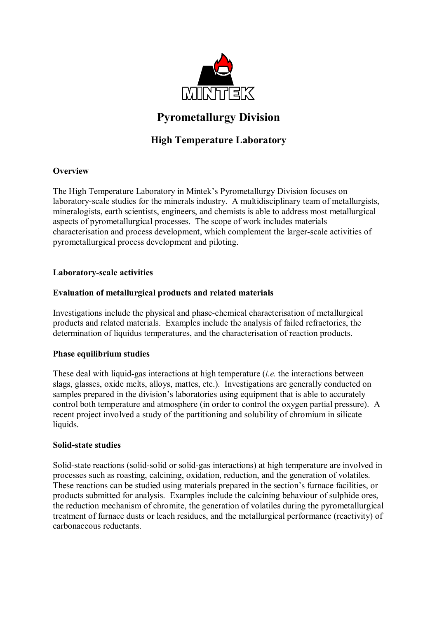

# **Pyrometallurgy Division**

## **High Temperature Laboratory**

## **Overview**

The High Temperature Laboratory in Mintek's Pyrometallurgy Division focuses on laboratory-scale studies for the minerals industry. A multidisciplinary team of metallurgists, mineralogists, earth scientists, engineers, and chemists is able to address most metallurgical aspects of pyrometallurgical processes. The scope of work includes materials characterisation and process development, which complement the larger-scale activities of pyrometallurgical process development and piloting.

## **Laboratory-scale activities**

## **Evaluation of metallurgical products and related materials**

Investigations include the physical and phase-chemical characterisation of metallurgical products and related materials. Examples include the analysis of failed refractories, the determination of liquidus temperatures, and the characterisation of reaction products.

## **Phase equilibrium studies**

These deal with liquid-gas interactions at high temperature (*i.e.* the interactions between slags, glasses, oxide melts, alloys, mattes, etc.). Investigations are generally conducted on samples prepared in the division's laboratories using equipment that is able to accurately control both temperature and atmosphere (in order to control the oxygen partial pressure). A recent project involved a study of the partitioning and solubility of chromium in silicate liquids.

#### **Solid-state studies**

Solid-state reactions (solid-solid or solid-gas interactions) at high temperature are involved in processes such as roasting, calcining, oxidation, reduction, and the generation of volatiles. These reactions can be studied using materials prepared in the section's furnace facilities, or products submitted for analysis. Examples include the calcining behaviour of sulphide ores, the reduction mechanism of chromite, the generation of volatiles during the pyrometallurgical treatment of furnace dusts or leach residues, and the metallurgical performance (reactivity) of carbonaceous reductants.